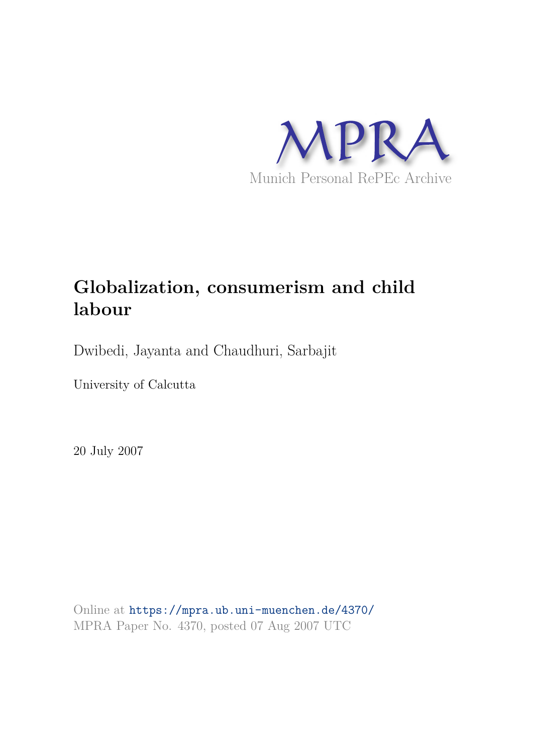

# **Globalization, consumerism and child labour**

Dwibedi, Jayanta and Chaudhuri, Sarbajit

University of Calcutta

20 July 2007

Online at https://mpra.ub.uni-muenchen.de/4370/ MPRA Paper No. 4370, posted 07 Aug 2007 UTC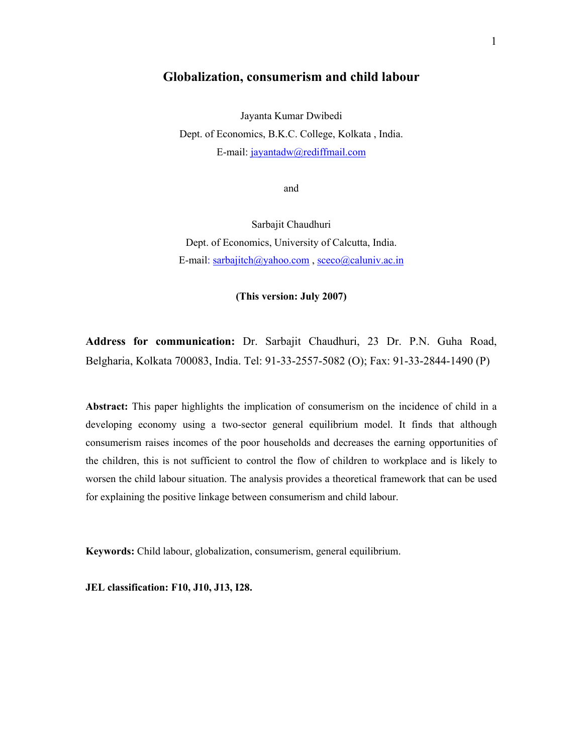# **Globalization, consumerism and child labour**

Jayanta Kumar Dwibedi Dept. of Economics, B.K.C. College, Kolkata , India. E-mail: jayantadw@rediffmail.com

and

Sarbajit Chaudhuri Dept. of Economics, University of Calcutta, India. E-mail: sarbajitch@yahoo.com , sceco@caluniv.ac.in

**(This version: July 2007)** 

**Address for communication:** Dr. Sarbajit Chaudhuri, 23 Dr. P.N. Guha Road, Belgharia, Kolkata 700083, India. Tel: 91-33-2557-5082 (O); Fax: 91-33-2844-1490 (P)

**Abstract:** This paper highlights the implication of consumerism on the incidence of child in a developing economy using a two-sector general equilibrium model. It finds that although consumerism raises incomes of the poor households and decreases the earning opportunities of the children, this is not sufficient to control the flow of children to workplace and is likely to worsen the child labour situation. The analysis provides a theoretical framework that can be used for explaining the positive linkage between consumerism and child labour.

**Keywords:** Child labour, globalization, consumerism, general equilibrium.

**JEL classification: F10, J10, J13, I28.**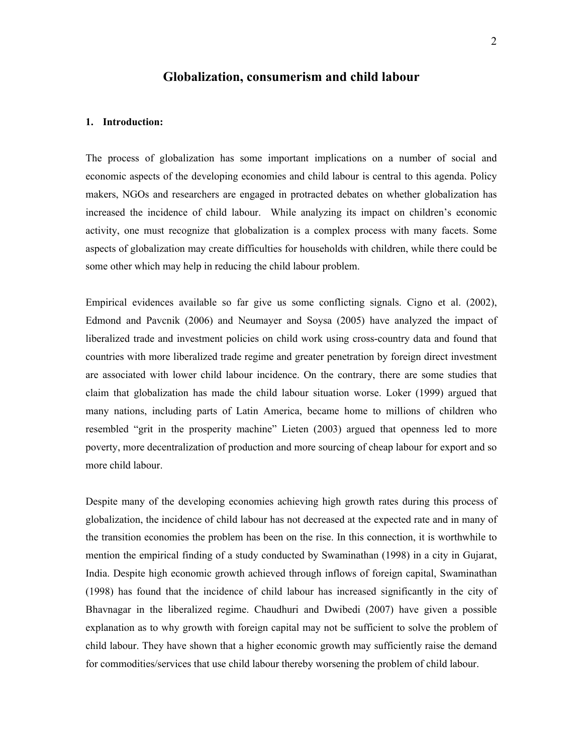# **Globalization, consumerism and child labour**

#### **1. Introduction:**

The process of globalization has some important implications on a number of social and economic aspects of the developing economies and child labour is central to this agenda. Policy makers, NGOs and researchers are engaged in protracted debates on whether globalization has increased the incidence of child labour. While analyzing its impact on children's economic activity, one must recognize that globalization is a complex process with many facets. Some aspects of globalization may create difficulties for households with children, while there could be some other which may help in reducing the child labour problem.

Empirical evidences available so far give us some conflicting signals. Cigno et al. (2002), Edmond and Pavcnik (2006) and Neumayer and Soysa (2005) have analyzed the impact of liberalized trade and investment policies on child work using cross-country data and found that countries with more liberalized trade regime and greater penetration by foreign direct investment are associated with lower child labour incidence. On the contrary, there are some studies that claim that globalization has made the child labour situation worse. Loker (1999) argued that many nations, including parts of Latin America, became home to millions of children who resembled "grit in the prosperity machine" Lieten (2003) argued that openness led to more poverty, more decentralization of production and more sourcing of cheap labour for export and so more child labour.

Despite many of the developing economies achieving high growth rates during this process of globalization, the incidence of child labour has not decreased at the expected rate and in many of the transition economies the problem has been on the rise. In this connection, it is worthwhile to mention the empirical finding of a study conducted by Swaminathan (1998) in a city in Gujarat, India. Despite high economic growth achieved through inflows of foreign capital, Swaminathan (1998) has found that the incidence of child labour has increased significantly in the city of Bhavnagar in the liberalized regime. Chaudhuri and Dwibedi (2007) have given a possible explanation as to why growth with foreign capital may not be sufficient to solve the problem of child labour. They have shown that a higher economic growth may sufficiently raise the demand for commodities/services that use child labour thereby worsening the problem of child labour.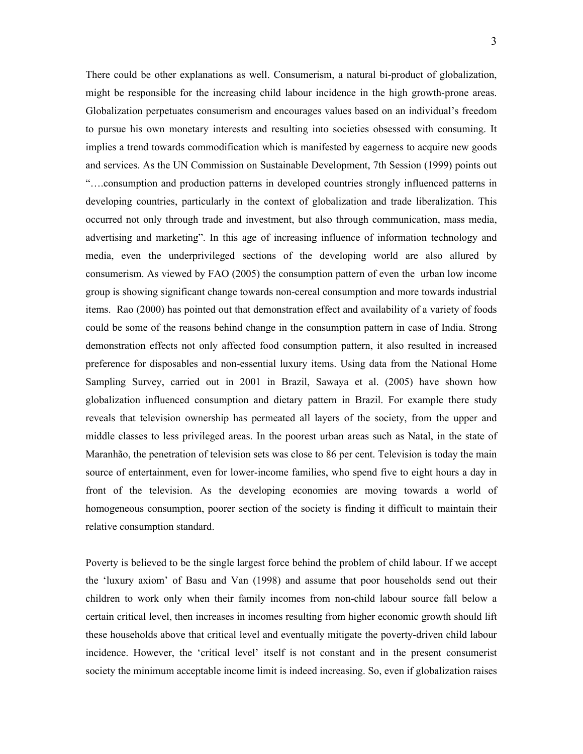There could be other explanations as well. Consumerism, a natural bi-product of globalization, might be responsible for the increasing child labour incidence in the high growth-prone areas. Globalization perpetuates consumerism and encourages values based on an individual's freedom to pursue his own monetary interests and resulting into societies obsessed with consuming. It implies a trend towards commodification which is manifested by eagerness to acquire new goods and services. As the UN Commission on Sustainable Development, 7th Session (1999) points out "….consumption and production patterns in developed countries strongly influenced patterns in developing countries, particularly in the context of globalization and trade liberalization. This occurred not only through trade and investment, but also through communication, mass media, advertising and marketing". In this age of increasing influence of information technology and media, even the underprivileged sections of the developing world are also allured by consumerism. As viewed by FAO (2005) the consumption pattern of even the urban low income group is showing significant change towards non-cereal consumption and more towards industrial items. Rao (2000) has pointed out that demonstration effect and availability of a variety of foods could be some of the reasons behind change in the consumption pattern in case of India. Strong demonstration effects not only affected food consumption pattern, it also resulted in increased preference for disposables and non-essential luxury items. Using data from the National Home Sampling Survey, carried out in 2001 in Brazil, Sawaya et al. (2005) have shown how globalization influenced consumption and dietary pattern in Brazil. For example there study reveals that television ownership has permeated all layers of the society, from the upper and middle classes to less privileged areas. In the poorest urban areas such as Natal, in the state of Maranhão, the penetration of television sets was close to 86 per cent. Television is today the main source of entertainment, even for lower-income families, who spend five to eight hours a day in front of the television. As the developing economies are moving towards a world of homogeneous consumption, poorer section of the society is finding it difficult to maintain their relative consumption standard.

Poverty is believed to be the single largest force behind the problem of child labour. If we accept the 'luxury axiom' of Basu and Van (1998) and assume that poor households send out their children to work only when their family incomes from non-child labour source fall below a certain critical level, then increases in incomes resulting from higher economic growth should lift these households above that critical level and eventually mitigate the poverty-driven child labour incidence. However, the 'critical level' itself is not constant and in the present consumerist society the minimum acceptable income limit is indeed increasing. So, even if globalization raises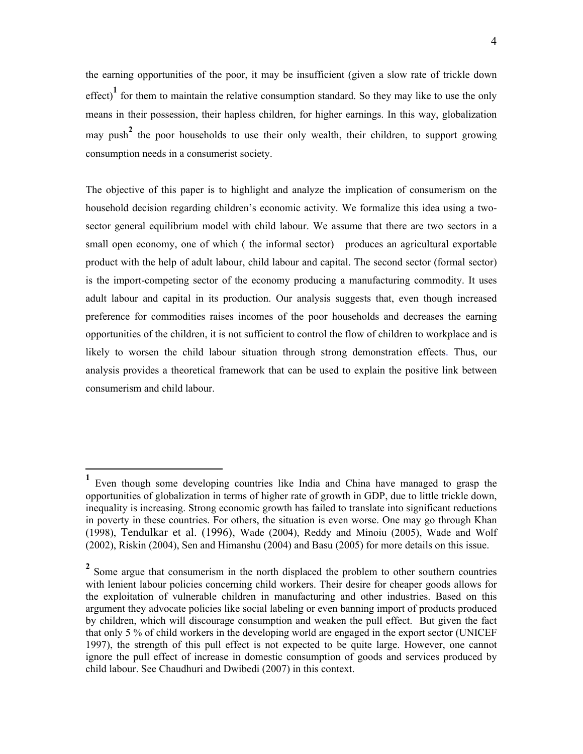the earning opportunities of the poor, it may be insufficient (given a slow rate of trickle down effect)<sup>1</sup> for them to maintain the relative consumption standard. So they may like to use the only means in their possession, their hapless children, for higher earnings. In this way, globalization may push**<sup>2</sup>** the poor households to use their only wealth, their children, to support growing consumption needs in a consumerist society.

The objective of this paper is to highlight and analyze the implication of consumerism on the household decision regarding children's economic activity. We formalize this idea using a twosector general equilibrium model with child labour. We assume that there are two sectors in a small open economy, one of which ( the informal sector) produces an agricultural exportable product with the help of adult labour, child labour and capital. The second sector (formal sector) is the import-competing sector of the economy producing a manufacturing commodity. It uses adult labour and capital in its production. Our analysis suggests that, even though increased preference for commodities raises incomes of the poor households and decreases the earning opportunities of the children, it is not sufficient to control the flow of children to workplace and is likely to worsen the child labour situation through strong demonstration effects. Thus, our analysis provides a theoretical framework that can be used to explain the positive link between consumerism and child labour.

**<sup>1</sup>** Even though some developing countries like India and China have managed to grasp the opportunities of globalization in terms of higher rate of growth in GDP, due to little trickle down, inequality is increasing. Strong economic growth has failed to translate into significant reductions in poverty in these countries. For others, the situation is even worse. One may go through Khan (1998), Tendulkar et al. (1996), Wade (2004), Reddy and Minoiu (2005), Wade and Wolf (2002), Riskin (2004), Sen and Himanshu (2004) and Basu (2005) for more details on this issue.

<sup>&</sup>lt;sup>2</sup> Some argue that consumerism in the north displaced the problem to other southern countries with lenient labour policies concerning child workers. Their desire for cheaper goods allows for the exploitation of vulnerable children in manufacturing and other industries. Based on this argument they advocate policies like social labeling or even banning import of products produced by children, which will discourage consumption and weaken the pull effect. But given the fact that only 5 % of child workers in the developing world are engaged in the export sector (UNICEF 1997), the strength of this pull effect is not expected to be quite large. However, one cannot ignore the pull effect of increase in domestic consumption of goods and services produced by child labour. See Chaudhuri and Dwibedi (2007) in this context.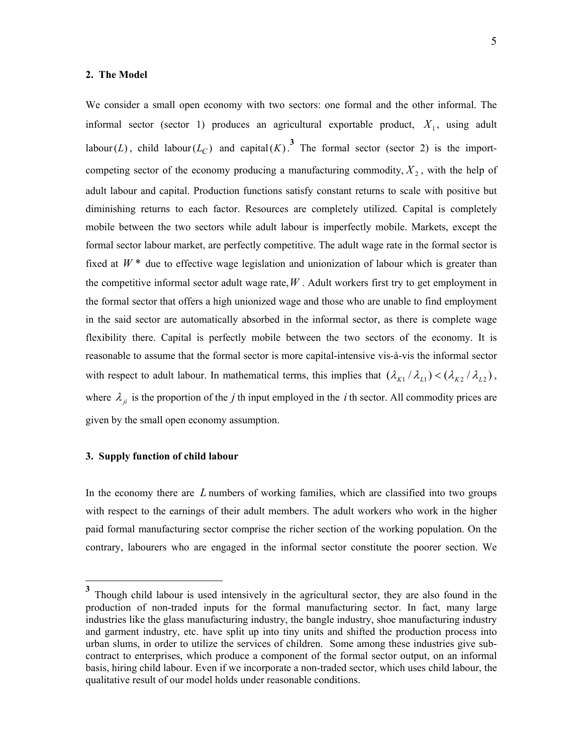#### **2. The Model**

We consider a small open economy with two sectors: one formal and the other informal. The informal sector (sector 1) produces an agricultural exportable product,  $X_1$ , using adult labour(*L*), child labour( $L_C$ ) and capital(*K*).<sup>3</sup> The formal sector (sector 2) is the importcompeting sector of the economy producing a manufacturing commodity,  $X_2$ , with the help of adult labour and capital. Production functions satisfy constant returns to scale with positive but diminishing returns to each factor. Resources are completely utilized. Capital is completely mobile between the two sectors while adult labour is imperfectly mobile. Markets, except the formal sector labour market, are perfectly competitive. The adult wage rate in the formal sector is fixed at  $W^*$  due to effective wage legislation and unionization of labour which is greater than the competitive informal sector adult wage rate, $W$ . Adult workers first try to get employment in the formal sector that offers a high unionized wage and those who are unable to find employment in the said sector are automatically absorbed in the informal sector, as there is complete wage flexibility there. Capital is perfectly mobile between the two sectors of the economy. It is reasonable to assume that the formal sector is more capital-intensive vis-à-vis the informal sector with respect to adult labour. In mathematical terms, this implies that  $(\lambda_{K1}/\lambda_{L1}) < (\lambda_{K2}/\lambda_{L2})$ , where  $\lambda_{ii}$  is the proportion of the *j* th input employed in the *i* th sector. All commodity prices are given by the small open economy assumption.

# **3. Supply function of child labour**

 $\overline{a}$ 

In the economy there are *L* numbers of working families, which are classified into two groups with respect to the earnings of their adult members. The adult workers who work in the higher paid formal manufacturing sector comprise the richer section of the working population. On the contrary, labourers who are engaged in the informal sector constitute the poorer section. We

**<sup>3</sup>** Though child labour is used intensively in the agricultural sector, they are also found in the production of non-traded inputs for the formal manufacturing sector. In fact, many large industries like the glass manufacturing industry, the bangle industry, shoe manufacturing industry and garment industry, etc. have split up into tiny units and shifted the production process into urban slums, in order to utilize the services of children. Some among these industries give subcontract to enterprises, which produce a component of the formal sector output, on an informal basis, hiring child labour. Even if we incorporate a non-traded sector, which uses child labour, the qualitative result of our model holds under reasonable conditions.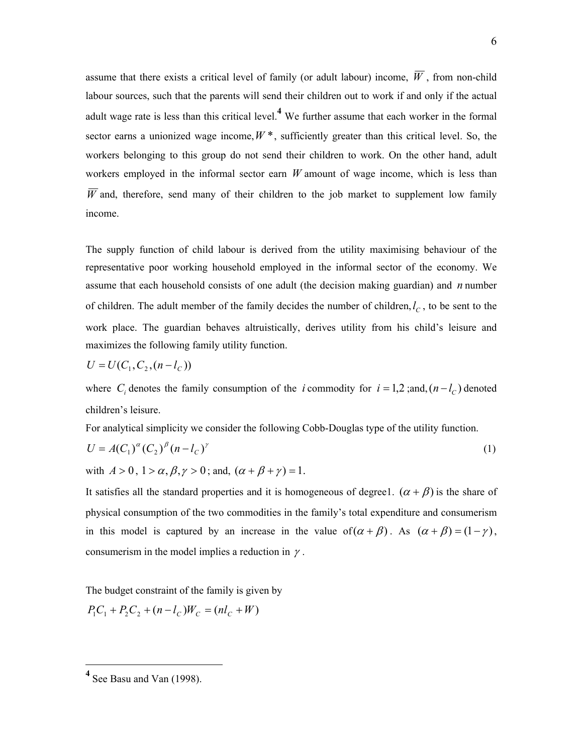assume that there exists a critical level of family (or adult labour) income,  $\overline{W}$ , from non-child labour sources, such that the parents will send their children out to work if and only if the actual adult wage rate is less than this critical level.**<sup>4</sup>** We further assume that each worker in the formal sector earns a unionized wage income,  $W^*$ , sufficiently greater than this critical level. So, the workers belonging to this group do not send their children to work. On the other hand, adult workers employed in the informal sector earn *W* amount of wage income, which is less than  $\overline{W}$  and, therefore, send many of their children to the job market to supplement low family income.

The supply function of child labour is derived from the utility maximising behaviour of the representative poor working household employed in the informal sector of the economy. We assume that each household consists of one adult (the decision making guardian) and *n* number of children. The adult member of the family decides the number of children,  $l_c$ , to be sent to the work place. The guardian behaves altruistically, derives utility from his child's leisure and maximizes the following family utility function.

$$
U = U(C_1, C_2, (n - l_C))
$$

where  $C_i$  denotes the family consumption of the *i* commodity for  $i = 1, 2$ ; and,  $(n - l_C)$  denoted children's leisure.

For analytical simplicity we consider the following Cobb-Douglas type of the utility function.

$$
U = A(C_1)^{\alpha} (C_2)^{\beta} (n - l_C)^{\gamma}
$$
 (1)

with  $A > 0$ ,  $1 > \alpha$ ,  $\beta$ ,  $\gamma > 0$ ; and,  $(\alpha + \beta + \gamma) = 1$ .

It satisfies all the standard properties and it is homogeneous of degree1.  $(\alpha + \beta)$  is the share of physical consumption of the two commodities in the family's total expenditure and consumerism in this model is captured by an increase in the value of( $\alpha + \beta$ ). As  $(\alpha + \beta) = (1 - \gamma)$ , consumerism in the model implies a reduction in  $\gamma$ .

The budget constraint of the family is given by

$$
P_1C_1 + P_2C_2 + (n - l_C)W_C = (nl_C + W)
$$

**<sup>4</sup>** See Basu and Van (1998).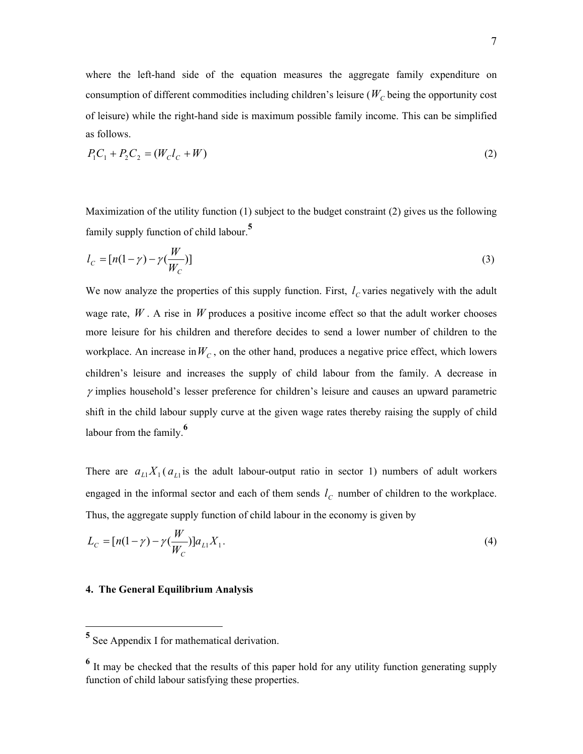where the left-hand side of the equation measures the aggregate family expenditure on consumption of different commodities including children's leisure ( $W_C$  being the opportunity cost of leisure) while the right-hand side is maximum possible family income. This can be simplified as follows.

$$
P_1 C_1 + P_2 C_2 = (W_c l_c + W)
$$
\n(2)

Maximization of the utility function (1) subject to the budget constraint (2) gives us the following family supply function of child labour.**<sup>5</sup>**

$$
l_C = [n(1 - \gamma) - \gamma(\frac{W}{W_C})]
$$
\n(3)

We now analyze the properties of this supply function. First,  $l_c$  varies negatively with the adult wage rate,  $W$ . A rise in  $W$  produces a positive income effect so that the adult worker chooses more leisure for his children and therefore decides to send a lower number of children to the workplace. An increase in  $W_C$ , on the other hand, produces a negative price effect, which lowers children's leisure and increases the supply of child labour from the family. A decrease in  $\gamma$  implies household's lesser preference for children's leisure and causes an upward parametric shift in the child labour supply curve at the given wage rates thereby raising the supply of child labour from the family.**<sup>6</sup>**

There are  $a_{L1}X_1(a_{L1})$  is the adult labour-output ratio in sector 1) numbers of adult workers engaged in the informal sector and each of them sends  $l_c$  number of children to the workplace. Thus, the aggregate supply function of child labour in the economy is given by

$$
L_C = [n(1 - \gamma) - \gamma(\frac{W}{W_C})]a_{L1}X_1.
$$
\n(4)

## **4. The General Equilibrium Analysis**

**<sup>5</sup>** See Appendix I for mathematical derivation.

<sup>&</sup>lt;sup>6</sup> It may be checked that the results of this paper hold for any utility function generating supply function of child labour satisfying these properties.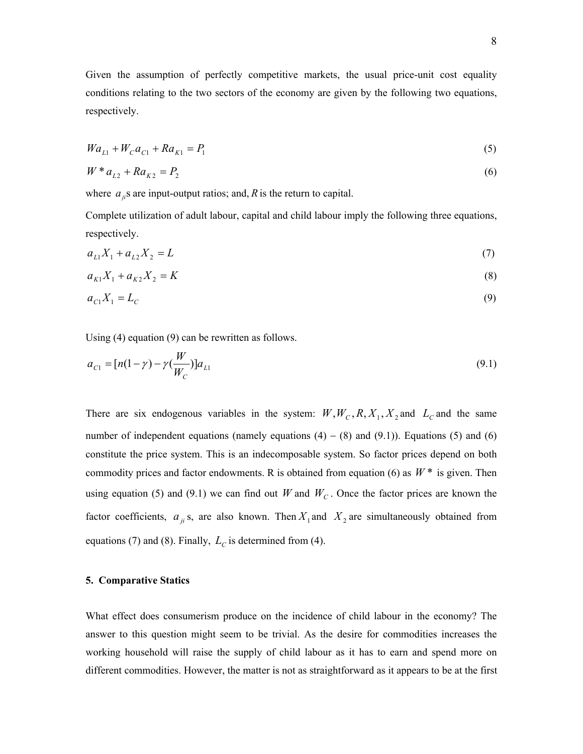Given the assumption of perfectly competitive markets, the usual price-unit cost equality conditions relating to the two sectors of the economy are given by the following two equations, respectively.

$$
Wa_{L1} + W_C a_{C1} + Ra_{K1} = P_1
$$
\n<sup>(5)</sup>

$$
W * a_{L2} + Ra_{K2} = P_2 \tag{6}
$$

where  $a_{ji}$ s are input-output ratios; and,  $R$  is the return to capital.

Complete utilization of adult labour, capital and child labour imply the following three equations, respectively.

$$
a_{L1}X_1 + a_{L2}X_2 = L \tag{7}
$$

$$
a_{K1}X_1 + a_{K2}X_2 = K \tag{8}
$$

$$
a_{c1}X_1 = L_c \tag{9}
$$

Using (4) equation (9) can be rewritten as follows.

$$
a_{C1} = [n(1 - \gamma) - \gamma(\frac{W}{W_C})]a_{L1}
$$
\n(9.1)

There are six endogenous variables in the system:  $W, W_c, R, X_1, X_2$  and  $L_c$  and the same number of independent equations (namely equations  $(4) - (8)$  and  $(9.1)$ ). Equations (5) and (6) constitute the price system. This is an indecomposable system. So factor prices depend on both commodity prices and factor endowments. R is obtained from equation (6) as  $W^*$  is given. Then using equation (5) and (9.1) we can find out *W* and  $W_c$ . Once the factor prices are known the factor coefficients,  $a_{ji}$ s, are also known. Then  $X_1$  and  $X_2$  are simultaneously obtained from equations (7) and (8). Finally,  $L_C$  is determined from (4).

## **5. Comparative Statics**

What effect does consumerism produce on the incidence of child labour in the economy? The answer to this question might seem to be trivial. As the desire for commodities increases the working household will raise the supply of child labour as it has to earn and spend more on different commodities. However, the matter is not as straightforward as it appears to be at the first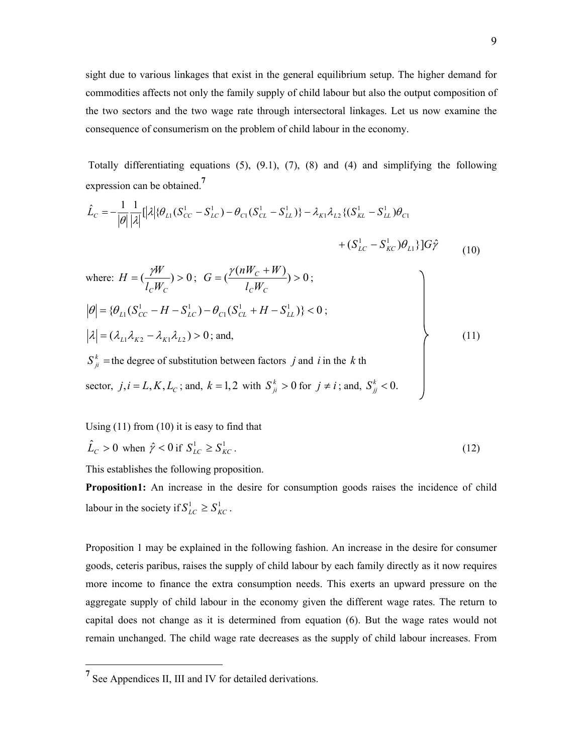sight due to various linkages that exist in the general equilibrium setup. The higher demand for commodities affects not only the family supply of child labour but also the output composition of the two sectors and the two wage rate through intersectoral linkages. Let us now examine the consequence of consumerism on the problem of child labour in the economy.

 Totally differentiating equations (5), (9.1), (7), (8) and (4) and simplifying the following expression can be obtained.**<sup>7</sup>**

$$
\hat{L}_C = -\frac{1}{|\theta|} \frac{1}{|\lambda|} [|\lambda| \{\theta_{L1}(S_{CC}^1 - S_{LC}^1) - \theta_{C1}(S_{CL}^1 - S_{LL}^1)\} - \lambda_{K1}\lambda_{L2} \{ (S_{KL}^1 - S_{LL}^1)\theta_{C1} + (S_{LC}^1 - S_{KC}^1)\theta_{L1} \} ]G\hat{\gamma}
$$
\n(10)

where: 
$$
H = \left(\frac{\gamma W}{l_c W_c}\right) > 0
$$
;  $G = \left(\frac{\gamma (nW_c + W)}{l_c W_c}\right) > 0$ ;  
\n $|\theta| = \{\theta_{L1}(S_{cc}^1 - H - S_{LC}^1) - \theta_{C1}(S_{CL}^1 + H - S_{LL}^1)\} < 0$ ;  
\n $|\lambda| = (\lambda_{L1} \lambda_{K2} - \lambda_{K1} \lambda_{L2}) > 0$ ; and,  
\n $S_{ji}^k$  = the degree of substitution between factors *j* and *i* in the *k* th  
\nsector,  $j, i = L, K, L_c$ ; and,  $k = 1, 2$  with  $S_{ji}^k > 0$  for  $j \neq i$ ; and,  $S_{jj}^k < 0$ .

Using (11) from (10) it is easy to find that

$$
\hat{L}_C > 0 \text{ when } \hat{\gamma} < 0 \text{ if } S_{LC}^1 \ge S_{KC}^1. \tag{12}
$$

This establishes the following proposition.

**Proposition1:** An increase in the desire for consumption goods raises the incidence of child labour in the society if  $S_{LC}^1 \geq S_{KC}^1$ .

Proposition 1 may be explained in the following fashion. An increase in the desire for consumer goods, ceteris paribus, raises the supply of child labour by each family directly as it now requires more income to finance the extra consumption needs. This exerts an upward pressure on the aggregate supply of child labour in the economy given the different wage rates. The return to capital does not change as it is determined from equation (6). But the wage rates would not remain unchanged. The child wage rate decreases as the supply of child labour increases. From

<sup>&</sup>lt;sup>7</sup> See Appendices II, III and IV for detailed derivations.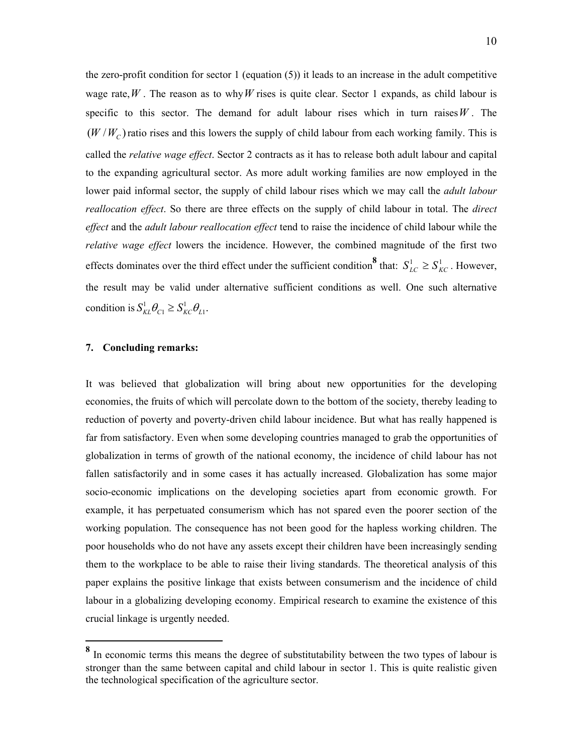the zero-profit condition for sector 1 (equation  $(5)$ ) it leads to an increase in the adult competitive wage rate,  $W$ . The reason as to why  $W$  rises is quite clear. Sector 1 expands, as child labour is specific to this sector. The demand for adult labour rises which in turn raises  $W$ . The  $(W/W<sub>C</sub>)$  ratio rises and this lowers the supply of child labour from each working family. This is called the *relative wage effect*. Sector 2 contracts as it has to release both adult labour and capital to the expanding agricultural sector. As more adult working families are now employed in the lower paid informal sector, the supply of child labour rises which we may call the *adult labour reallocation effect*. So there are three effects on the supply of child labour in total. The *direct effect* and the *adult labour reallocation effect* tend to raise the incidence of child labour while the *relative wage effect* lowers the incidence. However, the combined magnitude of the first two effects dominates over the third effect under the sufficient condition<sup>8</sup> that:  $S_{LC}^1 \geq S_{KC}^1$ . However, the result may be valid under alternative sufficient conditions as well. One such alternative condition is  $S_{KL}^1 \theta_{C_1} \geq S_{KC}^1 \theta_{L_1}$ .

# **7. Concluding remarks:**

 $\overline{a}$ 

It was believed that globalization will bring about new opportunities for the developing economies, the fruits of which will percolate down to the bottom of the society, thereby leading to reduction of poverty and poverty-driven child labour incidence. But what has really happened is far from satisfactory. Even when some developing countries managed to grab the opportunities of globalization in terms of growth of the national economy, the incidence of child labour has not fallen satisfactorily and in some cases it has actually increased. Globalization has some major socio-economic implications on the developing societies apart from economic growth. For example, it has perpetuated consumerism which has not spared even the poorer section of the working population. The consequence has not been good for the hapless working children. The poor households who do not have any assets except their children have been increasingly sending them to the workplace to be able to raise their living standards. The theoretical analysis of this paper explains the positive linkage that exists between consumerism and the incidence of child labour in a globalizing developing economy. Empirical research to examine the existence of this crucial linkage is urgently needed.

<sup>&</sup>lt;sup>8</sup> In economic terms this means the degree of substitutability between the two types of labour is stronger than the same between capital and child labour in sector 1. This is quite realistic given the technological specification of the agriculture sector.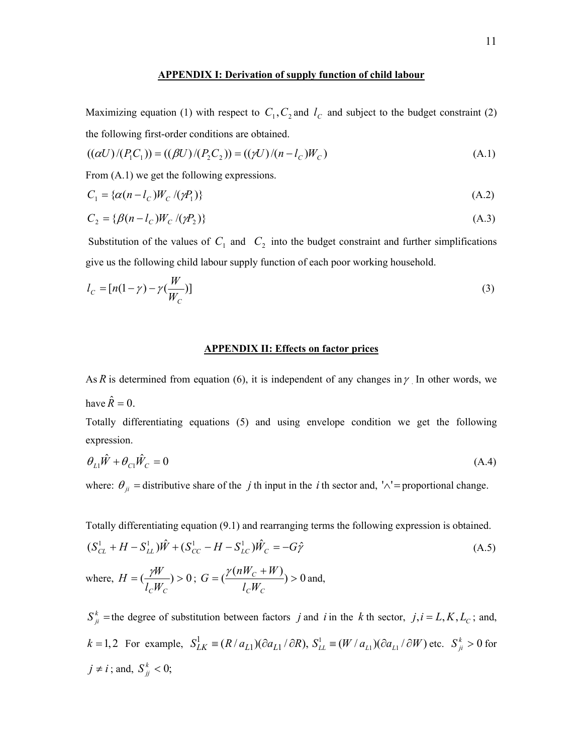### **APPENDIX I: Derivation of supply function of child labour**

Maximizing equation (1) with respect to  $C_1$ ,  $C_2$  and  $l_c$  and subject to the budget constraint (2) the following first-order conditions are obtained.

$$
((\alpha U)/(P_1 C_1)) = ((\beta U)/(P_2 C_2)) = ((\gamma U)/(n - l_C)W_C)
$$
\n(A.1)

From  $(A,1)$  we get the following expressions.

$$
C_1 = \{ \alpha(n - l_C) W_C / (\gamma P_1) \} \tag{A.2}
$$

$$
C_2 = \{\beta(n - l_c)W_c / (\gamma P_2)\}\tag{A.3}
$$

Substitution of the values of  $C_1$  and  $C_2$  into the budget constraint and further simplifications give us the following child labour supply function of each poor working household.

$$
l_C = [n(1 - \gamma) - \gamma(\frac{W}{W_C})]
$$
\n(3)

## **APPENDIX II: Effects on factor prices**

As R is determined from equation (6), it is independent of any changes in  $\gamma$ . In other words, we have  $\hat{R} = 0$ .

Totally differentiating equations (5) and using envelope condition we get the following expression.

$$
\theta_{L1}\hat{W} + \theta_{C1}\hat{W}_C = 0\tag{A.4}
$$

where:  $\theta_{ji}$  = distributive share of the *j* th input in the *i* th sector and, ' $\wedge$ ' = proportional change.

Totally differentiating equation (9.1) and rearranging terms the following expression is obtained.

$$
(S_{CL}^{1} + H - S_{LL}^{1})\hat{W} + (S_{CC}^{1} - H - S_{LC}^{1})\hat{W}_{C} = -G\hat{\gamma}
$$
\n(A.5)  
\nwhere,  $H = (\frac{\gamma W}{l_{C}W_{C}}) > 0$ ;  $G = (\frac{\gamma(nW_{C} + W)}{l_{C}W_{C}}) > 0$  and,

 $S_{ji}^k$  =the degree of substitution between factors *j* and *i* in the *k* th sector, *j*, *i* = *L*, *K*, *L*<sub>*c*</sub>; and,  $k = 1, 2$  For example,  $S_{LK}^1 = (R/a_{L1})(\partial a_{L1}/\partial R)$ ,  $S_{LL}^1 = (W/a_{L1})(\partial a_{L1}/\partial W)$  etc.  $S_{ji}^k > 0$  for  $j \neq i$ ; and,  $S_{jj}^k < 0$ ;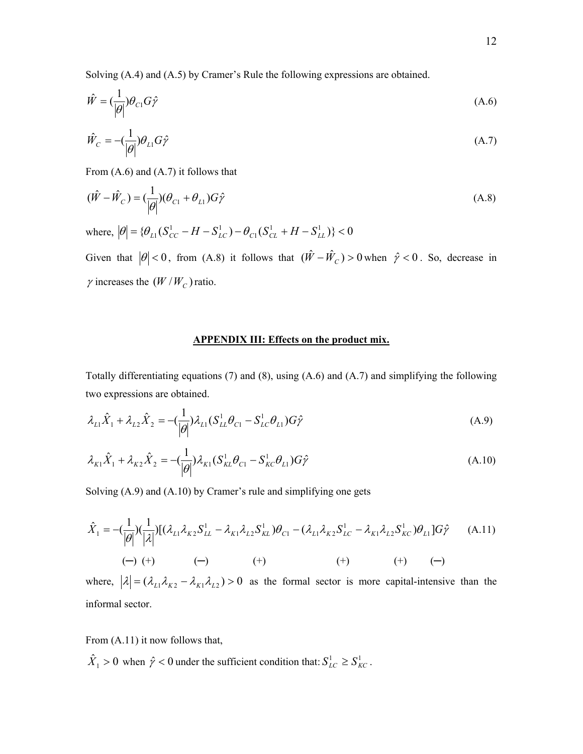Solving (A.4) and (A.5) by Cramer's Rule the following expressions are obtained.

$$
\hat{W} = \left(\frac{1}{|\theta|}\right)\theta_{C1}G\hat{\gamma}
$$
\n(A.6)

$$
\hat{W}_C = -\left(\frac{1}{|\theta|}\right)\theta_{L1}G\hat{\gamma}
$$
\n(A.7)

From (A.6) and (A.7) it follows that

$$
(\hat{W} - \hat{W}_C) = \left(\frac{1}{|\theta|}\right)(\theta_{C1} + \theta_{L1})G\hat{\gamma}
$$
\n(A.8)

where,  $|\theta| = {\theta_{L1}(S_{CC}^1 - H - S_{LC}^1) - \theta_{C1}(S_{CL}^1 + H - S_{LL}^1)} < 0$ 1  $\theta$  =  $\{\theta_{L1}(S_{CC}^1 - H - S_{LC}^1) - \theta_{C1}(S_{CL}^1 + H - S_{LL}^1)\}$  < 0

Given that  $|\theta| < 0$ , from (A.8) it follows that  $(\hat{W} - \hat{W}_C) > 0$  when  $\hat{\gamma} < 0$ . So, decrease in  $\gamma$  increases the  $(W/W_C)$  ratio.

# **APPENDIX III: Effects on the product mix.**

Totally differentiating equations (7) and (8), using (A.6) and (A.7) and simplifying the following two expressions are obtained.

$$
\lambda_{L1}\hat{X}_1 + \lambda_{L2}\hat{X}_2 = -\left(\frac{1}{|\theta|}\right)\lambda_{L1}(S_{LL}^1\theta_{C1} - S_{LC}^1\theta_{L1})G\hat{\gamma}
$$
\n(A.9)

$$
\lambda_{K1}\hat{X}_1 + \lambda_{K2}\hat{X}_2 = -\left(\frac{1}{|\theta|}\right)\lambda_{K1}(S_{KL}^1\theta_{C1} - S_{KC}^1\theta_{L1})G\hat{\gamma}
$$
\n(A.10)

Solving (A.9) and (A.10) by Cramer's rule and simplifying one gets

$$
\hat{X}_1 = -\left(\frac{1}{|\theta|}\right)\left(\frac{1}{|\lambda|}\right)\left[(\lambda_{L1}\lambda_{K2}S_{LL}^1 - \lambda_{K1}\lambda_{L2}S_{KL}^1)\theta_{C1} - (\lambda_{L1}\lambda_{K2}S_{LC}^1 - \lambda_{K1}\lambda_{L2}S_{KC}^1)\theta_{L1}\right]G\hat{\gamma}
$$
\n
$$
(-) \quad (+) \quad (-) \quad (+) \quad (+) \quad (+) \quad (+) \quad (-)
$$

where,  $|\lambda| = (\lambda_{L1}\lambda_{K2} - \lambda_{K1}\lambda_{L2}) > 0$  as the formal sector is more capital-intensive than the informal sector.

From (A.11) it now follows that,

 $\hat{X}_1 > 0$  when  $\hat{\gamma} < 0$  under the sufficient condition that:  $S_{LC}^1 \geq S_{KC}^1$ .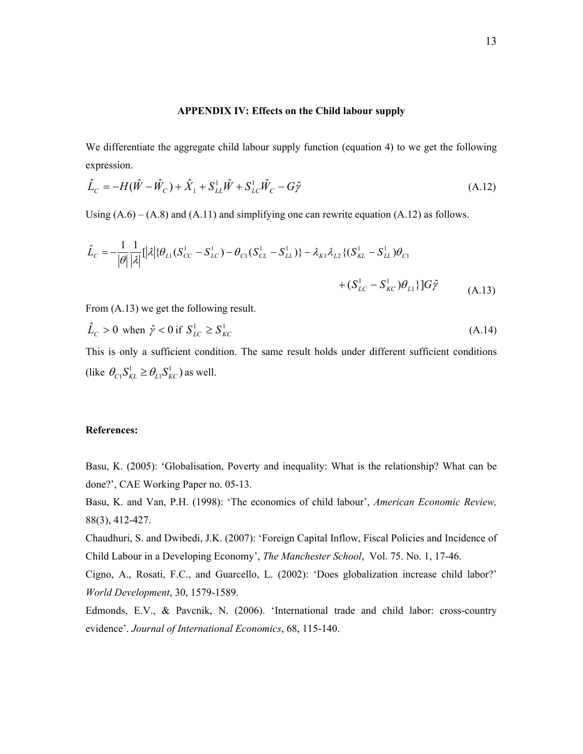#### **APPENDIX IV: Effects on the Child labour supply**

We differentiate the aggregate child labour supply function (equation 4) to we get the following expression.

$$
\hat{L}_C = -H(\hat{W} - \hat{W}_C) + \hat{X}_1 + S_{LL}^1 \hat{W} + S_{LC}^1 \hat{W}_C - G\hat{\gamma}
$$
\n(A.12)

Using  $(A.6) - (A.8)$  and  $(A.11)$  and simplifying one can rewrite equation  $(A.12)$  as follows.

$$
\hat{L}_C = -\frac{1}{|\theta|} \frac{1}{|\lambda|} [|\lambda| \{\theta_{L1}(S_{CC}^1 - S_{LC}^1) - \theta_{C1}(S_{CL}^1 - S_{LL}^1)\} - \lambda_{K1}\lambda_{L2} \{ (S_{KL}^1 - S_{LL}^1) \theta_{C1} + (S_{LC}^1 - S_{KC}^1) \theta_{L1} \} ]G\hat{\gamma}
$$
\n(A.13)

From (A.13) we get the following result.

$$
\hat{L}_C > 0 \text{ when } \hat{\gamma} < 0 \text{ if } S^1_{LC} \ge S^1_{KC} \tag{A.14}
$$

This is only a sufficient condition. The same result holds under different sufficient conditions (like  $\theta_{C_1} S^1_{KL} \geq \theta_{L_1} S^1_{KC}$ ) as well.

## **References:**

Basu, K. (2005): 'Globalisation, Poverty and inequality: What is the relationship? What can be done?', CAE Working Paper no. 05-13.

Basu, K. and Van, P.H. (1998): 'The economics of child labour', *American Economic Review,* 88(3), 412-427.

Chaudhuri, S. and Dwibedi, J.K. (2007): 'Foreign Capital Inflow, Fiscal Policies and Incidence of Child Labour in a Developing Economy', *The Manchester School*, Vol. 75. No. 1, 17-46.

Cigno, A., Rosati, F.C., and Guarcello, L. (2002): 'Does globalization increase child labor?' *World Development*, 30, 1579-1589.

Edmonds, E.V., & Pavcnik, N. (2006). 'International trade and child labor: cross-country evidence'. *Journal of International Economics*, 68, 115-140.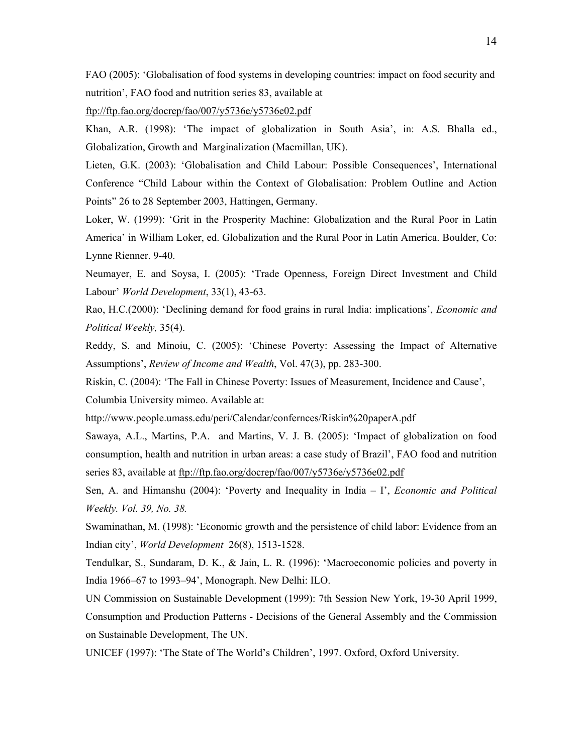FAO (2005): 'Globalisation of food systems in developing countries: impact on food security and nutrition', FAO food and nutrition series 83, available at

ftp://ftp.fao.org/docrep/fao/007/y5736e/y5736e02.pdf

Khan, A.R. (1998): 'The impact of globalization in South Asia', in: A.S. Bhalla ed., Globalization, Growth and Marginalization (Macmillan, UK).

Lieten, G.K. (2003): 'Globalisation and Child Labour: Possible Consequences', International Conference "Child Labour within the Context of Globalisation: Problem Outline and Action Points" 26 to 28 September 2003, Hattingen, Germany.

Loker, W. (1999): 'Grit in the Prosperity Machine: Globalization and the Rural Poor in Latin America' in William Loker, ed. Globalization and the Rural Poor in Latin America. Boulder, Co: Lynne Rienner. 9-40.

Neumayer, E. and Soysa, I. (2005): 'Trade Openness, Foreign Direct Investment and Child Labour' *World Development*, 33(1), 43-63.

Rao, H.C.(2000): 'Declining demand for food grains in rural India: implications', *Economic and Political Weekly,* 35(4).

Reddy, S. and Minoiu, C. (2005): 'Chinese Poverty: Assessing the Impact of Alternative Assumptions', *Review of Income and Wealth*, Vol. 47(3), pp. 283-300.

Riskin, C. (2004): 'The Fall in Chinese Poverty: Issues of Measurement, Incidence and Cause', Columbia University mimeo. Available at:

http://www.people.umass.edu/peri/Calendar/confernces/Riskin%20paperA.pdf

Sawaya, A.L., Martins, P.A. and Martins, V. J. B. (2005): 'Impact of globalization on food consumption, health and nutrition in urban areas: a case study of Brazil', FAO food and nutrition series 83, available at ftp://ftp.fao.org/docrep/fao/007/y5736e/y5736e02.pdf

Sen, A. and Himanshu (2004): 'Poverty and Inequality in India – I', *Economic and Political Weekly. Vol. 39, No. 38.* 

Swaminathan, M. (1998): 'Economic growth and the persistence of child labor: Evidence from an Indian city', *World Development* 26(8), 1513-1528.

Tendulkar, S., Sundaram, D. K., & Jain, L. R. (1996): 'Macroeconomic policies and poverty in India 1966–67 to 1993–94', Monograph. New Delhi: ILO.

UN Commission on Sustainable Development (1999): 7th Session New York, 19-30 April 1999, Consumption and Production Patterns - Decisions of the General Assembly and the Commission on Sustainable Development, The UN.

UNICEF (1997): 'The State of The World's Children', 1997. Oxford, Oxford University.